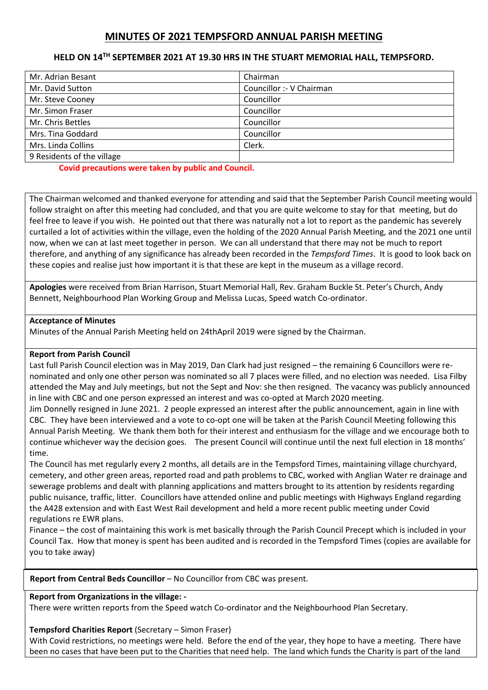# **MINUTES OF 2021 TEMPSFORD ANNUAL PARISH MEETING**

### **HELD ON 14TH SEPTEMBER 2021 AT 19.30 HRS IN THE STUART MEMORIAL HALL, TEMPSFORD.**

| Mr. Adrian Besant          | Chairman                 |
|----------------------------|--------------------------|
| Mr. David Sutton           | Councillor :- V Chairman |
| Mr. Steve Cooney           | Councillor               |
| Mr. Simon Fraser           | Councillor               |
| Mr. Chris Bettles          | Councillor               |
| Mrs. Tina Goddard          | Councillor               |
| Mrs. Linda Collins         | Clerk.                   |
| 9 Residents of the village |                          |

**Covid precautions were taken by public and Council.** 

The Chairman welcomed and thanked everyone for attending and said that the September Parish Council meeting would follow straight on after this meeting had concluded, and that you are quite welcome to stay for that meeting, but do feel free to leave if you wish. He pointed out that there was naturally not a lot to report as the pandemic has severely curtailed a lot of activities within the village, even the holding of the 2020 Annual Parish Meeting, and the 2021 one until now, when we can at last meet together in person. We can all understand that there may not be much to report therefore, and anything of any significance has already been recorded in the *Tempsford Times*. It is good to look back on these copies and realise just how important it is that these are kept in the museum as a village record.

**Apologies** were received from Brian Harrison, Stuart Memorial Hall, Rev. Graham Buckle St. Peter's Church, Andy Bennett, Neighbourhood Plan Working Group and Melissa Lucas, Speed watch Co-ordinator.

#### **Acceptance of Minutes**

Minutes of the Annual Parish Meeting held on 24thApril 2019 were signed by the Chairman.

#### **Report from Parish Council**

Last full Parish Council election was in May 2019, Dan Clark had just resigned – the remaining 6 Councillors were renominated and only one other person was nominated so all 7 places were filled, and no election was needed. Lisa Filby attended the May and July meetings, but not the Sept and Nov: she then resigned. The vacancy was publicly announced in line with CBC and one person expressed an interest and was co-opted at March 2020 meeting.

Jim Donnelly resigned in June 2021. 2 people expressed an interest after the public announcement, again in line with CBC. They have been interviewed and a vote to co-opt one will be taken at the Parish Council Meeting following this Annual Parish Meeting. We thank them both for their interest and enthusiasm for the village and we encourage both to continue whichever way the decision goes. The present Council will continue until the next full election in 18 months' time.

The Council has met regularly every 2 months, all details are in the Tempsford Times, maintaining village churchyard, cemetery, and other green areas, reported road and path problems to CBC, worked with Anglian Water re drainage and sewerage problems and dealt with planning applications and matters brought to its attention by residents regarding public nuisance, traffic, litter. Councillors have attended online and public meetings with Highways England regarding the A428 extension and with East West Rail development and held a more recent public meeting under Covid regulations re EWR plans.

Finance – the cost of maintaining this work is met basically through the Parish Council Precept which is included in your Council Tax. How that money is spent has been audited and is recorded in the Tempsford Times (copies are available for you to take away)

The Chairman invited anyone that wishes to give a report to do so – The new "TMug group", Tempsford Museum and **Report from Central Beds Councillor** – No Councillor from CBC was present.

### **Report from Organizations in the village: -**

There were written reports from the Speed watch Co-ordinator and the Neighbourhood Plan Secretary.

#### **Tempsford Charities Report** (Secretary – Simon Fraser)

With Covid restrictions, no meetings were held. Before the end of the year, they hope to have a meeting. There have been no cases that have been put to the Charities that need help. The land which funds the Charity is part of the land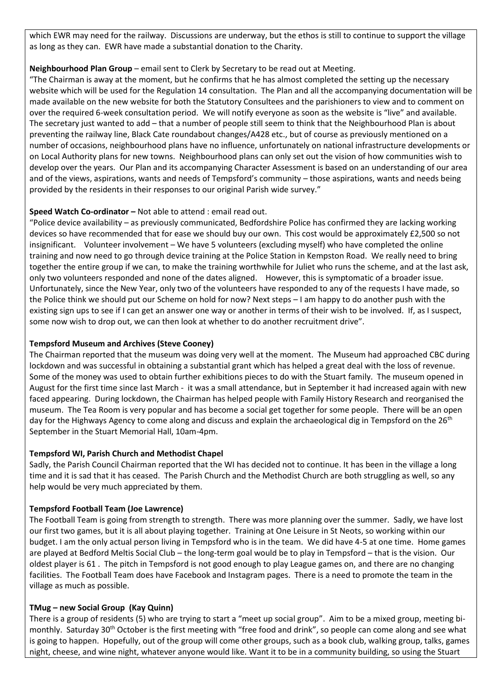which EWR may need for the railway. Discussions are underway, but the ethos is still to continue to support the village as long as they can. EWR have made a substantial donation to the Charity.

## **Neighbourhood Plan Group** – email sent to Clerk by Secretary to be read out at Meeting.

"The Chairman is away at the moment, but he confirms that he has almost completed the setting up the necessary website which will be used for the Regulation 14 consultation. The Plan and all the accompanying documentation will be made available on the new website for both the Statutory Consultees and the parishioners to view and to comment on over the required 6-week consultation period. We will notify everyone as soon as the website is "live" and available. The secretary just wanted to add – that a number of people still seem to think that the Neighbourhood Plan is about preventing the railway line, Black Cate roundabout changes/A428 etc., but of course as previously mentioned on a number of occasions, neighbourhood plans have no influence, unfortunately on national infrastructure developments or on Local Authority plans for new towns. Neighbourhood plans can only set out the vision of how communities wish to develop over the years. Our Plan and its accompanying Character Assessment is based on an understanding of our area and of the views, aspirations, wants and needs of Tempsford's community – those aspirations, wants and needs being provided by the residents in their responses to our original Parish wide survey."

## **Speed Watch Co-ordinator –** Not able to attend : email read out.

"Police device availability – as previously communicated, Bedfordshire Police has confirmed they are lacking working devices so have recommended that for ease we should buy our own. This cost would be approximately £2,500 so not insignificant. Volunteer involvement – We have 5 volunteers (excluding myself) who have completed the online training and now need to go through device training at the Police Station in Kempston Road. We really need to bring together the entire group if we can, to make the training worthwhile for Juliet who runs the scheme, and at the last ask, only two volunteers responded and none of the dates aligned. However, this is symptomatic of a broader issue. Unfortunately, since the New Year, only two of the volunteers have responded to any of the requests I have made, so the Police think we should put our Scheme on hold for now? Next steps – I am happy to do another push with the existing sign ups to see if I can get an answer one way or another in terms of their wish to be involved. If, as I suspect, some now wish to drop out, we can then look at whether to do another recruitment drive".

## **Tempsford Museum and Archives (Steve Cooney)**

The Chairman reported that the museum was doing very well at the moment. The Museum had approached CBC during lockdown and was successful in obtaining a substantial grant which has helped a great deal with the loss of revenue. Some of the money was used to obtain further exhibitions pieces to do with the Stuart family. The museum opened in August for the first time since last March - it was a small attendance, but in September it had increased again with new faced appearing. During lockdown, the Chairman has helped people with Family History Research and reorganised the museum. The Tea Room is very popular and has become a social get together for some people. There will be an open day for the Highways Agency to come along and discuss and explain the archaeological dig in Tempsford on the 26<sup>th</sup> September in the Stuart Memorial Hall, 10am-4pm.

### **Tempsford WI, Parish Church and Methodist Chapel**

Sadly, the Parish Council Chairman reported that the WI has decided not to continue. It has been in the village a long time and it is sad that it has ceased. The Parish Church and the Methodist Church are both struggling as well, so any help would be very much appreciated by them.

### **Tempsford Football Team (Joe Lawrence)**

The Football Team is going from strength to strength. There was more planning over the summer. Sadly, we have lost our first two games, but it is all about playing together. Training at One Leisure in St Neots, so working within our budget. I am the only actual person living in Tempsford who is in the team. We did have 4-5 at one time. Home games are played at Bedford Meltis Social Club – the long-term goal would be to play in Tempsford – that is the vision. Our oldest player is 61 . The pitch in Tempsford is not good enough to play League games on, and there are no changing facilities. The Football Team does have Facebook and Instagram pages. There is a need to promote the team in the village as much as possible.

## **TMug – new Social Group (Kay Quinn)**

There is a group of residents (5) who are trying to start a "meet up social group". Aim to be a mixed group, meeting bimonthly. Saturday 30<sup>th</sup> October is the first meeting with "free food and drink", so people can come along and see what is going to happen. Hopefully, out of the group will come other groups, such as a book club, walking group, talks, games night, cheese, and wine night, whatever anyone would like. Want it to be in a community building, so using the Stuart